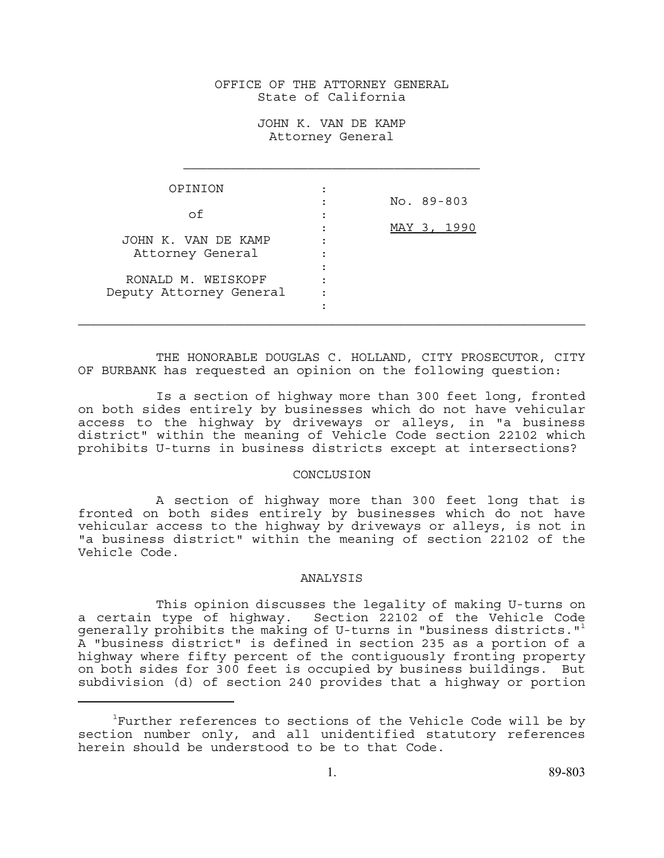## OFFICE OF THE ATTORNEY GENERAL State of California

JOHN K. VAN DE KAMP Attorney General

| OPINION                                 |                | No. 89-803  |
|-----------------------------------------|----------------|-------------|
| Ωf                                      | $\blacksquare$ |             |
|                                         | ٠              | MAY 3, 1990 |
| JOHN K. VAN DE KAMP<br>Attorney General |                |             |
|                                         |                |             |
| RONALD M. WEISKOPF                      |                |             |
| Deputy Attorney General                 |                |             |
|                                         |                |             |

THE HONORABLE DOUGLAS C. HOLLAND, CITY PROSECUTOR, CITY OF BURBANK has requested an opinion on the following question:

Is a section of highway more than 300 feet long, fronted on both sides entirely by businesses which do not have vehicular access to the highway by driveways or alleys, in "a business district" within the meaning of Vehicle Code section 22102 which prohibits U-turns in business districts except at intersections?

## CONCLUSION

A section of highway more than 300 feet long that is fronted on both sides entirely by businesses which do not have vehicular access to the highway by driveways or alleys, is not in "a business district" within the meaning of section 22102 of the Vehicle Code.

## ANALYSIS

This opinion discusses the legality of making U-turns on a certain type of highway. Section 22102 of the Vehicle Code generally prohibits the making of U-turns in "business districts." $\pm$ A "business district" is defined in section 235 as a portion of a highway where fifty percent of the contiguously fronting property on both sides for 300 feet is occupied by business buildings. But subdivision (d) of section 240 provides that a highway or portion

 $^1$ Further references to sections of the Vehicle Code will be by section number only, and all unidentified statutory references herein should be understood to be to that Code.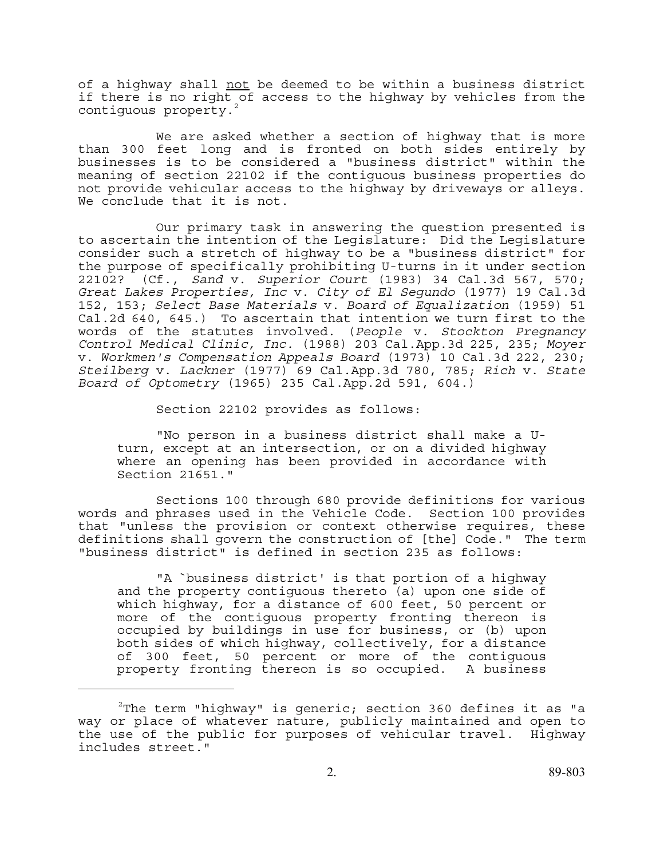of a highway shall not be deemed to be within a business district if there is no right of access to the highway by vehicles from the contiguous property.

We are asked whether a section of highway that is more than 300 feet long and is fronted on both sides entirely by businesses is to be considered a "business district" within the meaning of section 22102 if the contiguous business properties do not provide vehicular access to the highway by driveways or alleys. We conclude that it is not.

Our primary task in answering the question presented is to ascertain the intention of the Legislature: Did the Legislature consider such a stretch of highway to be a "business district" for the purpose of specifically prohibiting U-turns in it under section 22102? (Cf., *Sand* v. *Superior Court* (1983) 34 Cal.3d 567, 570; *Great Lakes Properties, Inc* v. *City of El Segundo* (1977) 19 Cal.3d 152, 153; *Select Base Materials* v. *Board of Equalization* (1959) 51 Cal.2d 640, 645.) To ascertain that intention we turn first to the words of the statutes involved. (*People* v. *Stockton Pregnancy Control Medical Clinic, Inc.* (1988) 203 Cal.App.3d 225, 235; *Moyer* v. *Workmen's Compensation Appeals Board* (1973) 10 Cal.3d 222, 230; *Steilberg* v. *Lackner* (1977) 69 Cal.App.3d 780, 785; *Rich* v. *State Board of Optometry* (1965) 235 Cal.App.2d 591, 604.)

Section 22102 provides as follows:

"No person in a business district shall make a U turn, except at an intersection, or on a divided highway where an opening has been provided in accordance with Section 21651."

Sections 100 through 680 provide definitions for various words and phrases used in the Vehicle Code. Section 100 provides that "unless the provision or context otherwise requires, these definitions shall govern the construction of [the] Code." The term "business district" is defined in section 235 as follows:

"A `business district' is that portion of a highway and the property contiguous thereto (a) upon one side of which highway, for a distance of 600 feet, 50 percent or more of the contiguous property fronting thereon is occupied by buildings in use for business, or (b) upon both sides of which highway, collectively, for a distance of 300 feet, 50 percent or more of the contiguous property fronting thereon is so occupied. A business

 $^{2}$ The term "highway" is generic; section 360 defines it as "a way or place of whatever nature, publicly maintained and open to the use of the public for purposes of vehicular travel. Highway includes street."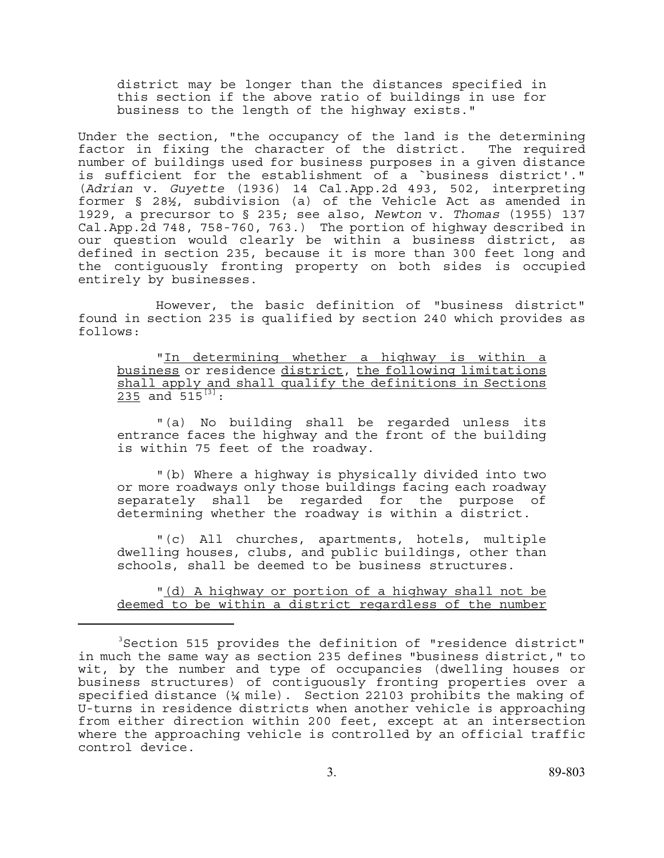district may be longer than the distances specified in this section if the above ratio of buildings in use for business to the length of the highway exists."

Under the section, "the occupancy of the land is the determining factor in fixing the character of the district. The required number of buildings used for business purposes in a given distance is sufficient for the establishment of a `business district'." (*Adrian* v. *Guyette* (1936) 14 Cal.App.2d 493, 502, interpreting former § 28½, subdivision (a) of the Vehicle Act as amended in 1929, a precursor to § 235; see also, *Newton* v. *Thomas* (1955) 137 Cal.App.2d 748, 758-760, 763.) The portion of highway described in our question would clearly be within a business district, as defined in section 235, because it is more than 300 feet long and the contiguously fronting property on both sides is occupied entirely by businesses.

However, the basic definition of "business district" found in section 235 is qualified by section 240 which provides as follows:

"In determining whether a highway is within a business or residence district, the following limitations shall apply and shall qualify the definitions in Sections  $235$  and  $515^{[3]}$ :

"(a) No building shall be regarded unless its entrance faces the highway and the front of the building is within 75 feet of the roadway.

"(b) Where a highway is physically divided into two or more roadways only those buildings facing each roadway separately shall be regarded for the purpose of determining whether the roadway is within a district.

"(c) All churches, apartments, hotels, multiple dwelling houses, clubs, and public buildings, other than schools, shall be deemed to be business structures.

"(d) A highway or portion of a highway shall not be deemed to be within a district regardless of the number

<sup>3</sup> Section 515 provides the definition of "residence district" in much the same way as section 235 defines "business district," to wit, by the number and type of occupancies (dwelling houses or business structures) of contiguously fronting properties over a specified distance (¼ mile). Section 22103 prohibits the making of U-turns in residence districts when another vehicle is approaching from either direction within 200 feet, except at an intersection where the approaching vehicle is controlled by an official traffic control device.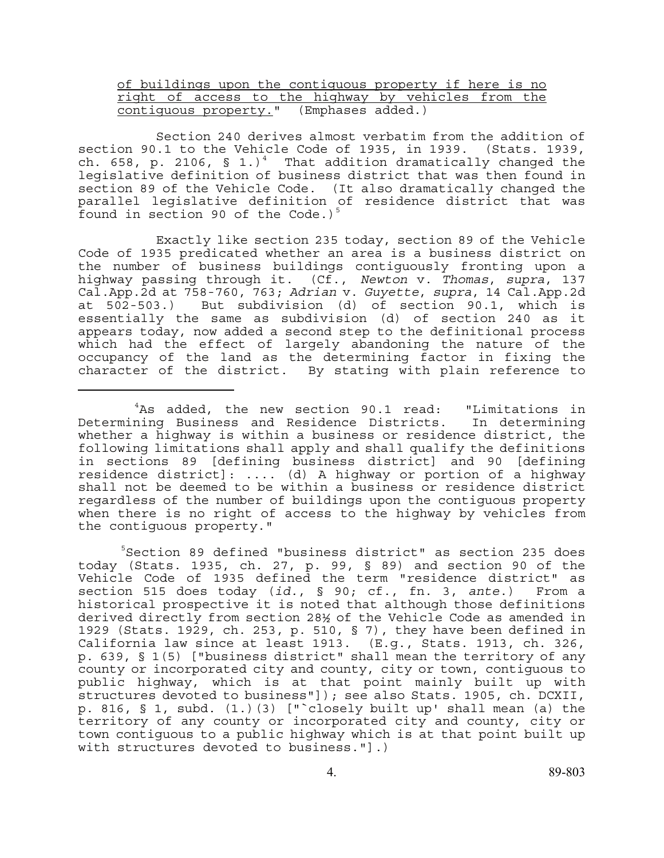## of buildings upon the contiguous property if here is no right of access to the highway by vehicles from the contiguous property." (Emphases added.)

Section 240 derives almost verbatim from the addition of section 90.1 to the Vehicle Code of 1935, in 1939. (Stats. 1939, ch. 658, p. 2106, § 1.)<sup>4</sup> That addition dramatically changed the legislative definition of business district that was then found in section 89 of the Vehicle Code. (It also dramatically changed the parallel legislative definition of residence district that was found in section 90 of the Code.)<sup>5</sup>

Exactly like section 235 today, section 89 of the Vehicle Code of 1935 predicated whether an area is a business district on the number of business buildings contiguously fronting upon a highway passing through it. (Cf., *Newton* v. *Thomas*, *supra*, 137 Cal.App.2d at 758-760, 763; *Adrian* v. *Guyette*, *supra*, 14 Cal.App.2d at 502-503.) But subdivision (d) of section 90.1, which is essentially the same as subdivision (d) of section 240 as it appears today, now added a second step to the definitional process which had the effect of largely abandoning the nature of the occupancy of the land as the determining factor in fixing the character of the district. By stating with plain reference to

5 Section 89 defined "business district" as section 235 does today (Stats. 1935, ch. 27, p. 99, § 89) and section 90 of the Vehicle Code of 1935 defined the term "residence district" as section 515 does today (*id.*, § 90; cf., fn. 3, *ante*.) From a historical prospective it is noted that although those definitions derived directly from section 28½ of the Vehicle Code as amended in 1929 (Stats. 1929, ch. 253, p. 510, § 7), they have been defined in California law since at least 1913. (E.g., Stats. 1913, ch. 326, p. 639, § 1(5) ["business district" shall mean the territory of any county or incorporated city and county, city or town, contiguous to public highway, which is at that point mainly built up with structures devoted to business"]); see also Stats. 1905, ch. DCXII, p. 816, § 1, subd. (1.)(3) ["`closely built up' shall mean (a) the territory of any county or incorporated city and county, city or town contiguous to a public highway which is at that point built up with structures devoted to business."].)

<sup>&</sup>lt;sup>4</sup>As added, the new section 90.1 read: "Limitations in Determining Business and Residence Districts. In determining whether a highway is within a business or residence district, the following limitations shall apply and shall qualify the definitions in sections 89 [defining business district] and 90 [defining residence district]: .... (d) A highway or portion of a highway shall not be deemed to be within a business or residence district regardless of the number of buildings upon the contiguous property when there is no right of access to the highway by vehicles from the contiguous property."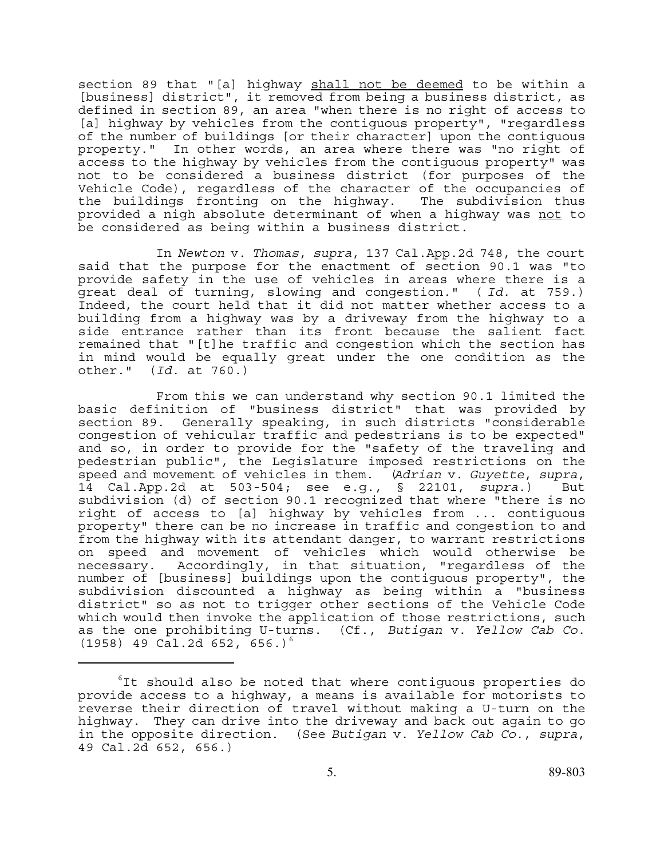section 89 that "[a] highway shall not be deemed to be within a [business] district", it removed from being a business district, as defined in section 89, an area "when there is no right of access to [a] highway by vehicles from the contiguous property", "regardless of the number of buildings [or their character] upon the contiguous property." In other words, an area where there was "no right of access to the highway by vehicles from the contiguous property" was not to be considered a business district (for purposes of the Vehicle Code), regardless of the character of the occupancies of the buildings fronting on the highway. The subdivision thus provided a nigh absolute determinant of when a highway was not to be considered as being within a business district.

In *Newton* v. *Thomas*, *supra*, 137 Cal.App.2d 748, the court said that the purpose for the enactment of section 90.1 was "to provide safety in the use of vehicles in areas where there is a great deal of turning, slowing and congestion." ( *Id.* at 759.) Indeed, the court held that it did not matter whether access to a building from a highway was by a driveway from the highway to a side entrance rather than its front because the salient fact remained that "[t]he traffic and congestion which the section has in mind would be equally great under the one condition as the other." (*Id.* at 760.)

From this we can understand why section 90.1 limited the basic definition of "business district" that was provided by section 89. Generally speaking, in such districts "considerable congestion of vehicular traffic and pedestrians is to be expected" and so, in order to provide for the "safety of the traveling and pedestrian public", the Legislature imposed restrictions on the speed and movement of vehicles in them. (*Adrian* v. *Guyette*, *supra*, 14 Cal.App.2d at 503-504; see e.g., § 22101, *supra*.) But subdivision (d) of section 90.1 recognized that where "there is no right of access to [a] highway by vehicles from ... contiguous property" there can be no increase in traffic and congestion to and from the highway with its attendant danger, to warrant restrictions on speed and movement of vehicles which would otherwise be necessary. Accordingly, in that situation, "regardless of the number of [business] buildings upon the contiguous property", the subdivision discounted a highway as being within a "business district" so as not to trigger other sections of the Vehicle Code which would then invoke the application of those restrictions, such as the one prohibiting U-turns. (Cf., *Butigan* v. *Yellow Cab Co.*   $(1958)$  49 Cal.2d 652, 656.)<sup>6</sup>

<sup>6</sup> It should also be noted that where contiguous properties do provide access to a highway, a means is available for motorists to reverse their direction of travel without making a U-turn on the highway. They can drive into the driveway and back out again to go in the opposite direction. (See *Butigan* v. *Yellow Cab Co.*, *supra*, 49 Cal.2d 652, 656.)